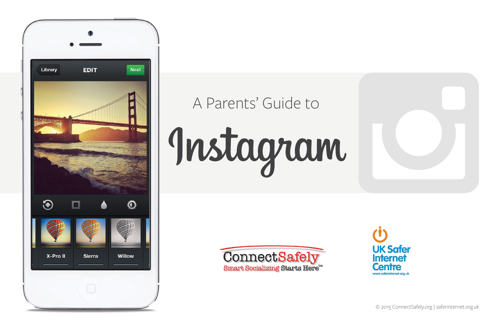

# A Parents' Guide toInstagram





© 2015 ConnectSafely.org | saferinternet.org.uk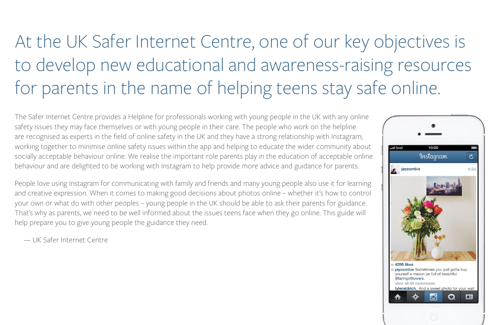# At the UK Safer Internet Centre, one of our key objectives is to develop new educational and awareness-raising resources for parents in the name of helping teens stay safe online.

The Safer Internet Centre provides a Helpline for professionals working with young people in the UK with any online safety issues they may face themselves or with young people in their care. The people who work on the helpline are recognised as experts in the field of online safety in the UK and they have a strong relationship with Instagram; working together to minimise online safety issues within the app and helping to educate the wider community about socially acceptable behaviour online. We realise the important role parents play in the education of acceptable online behaviour and are delighted to be working with Instagram to help provide more advice and guidance for parents.

People love using Instagram for communicating with family and friends and many young people also use it for learning and creative expression. When it comes to making good decisions about photos online – whether it's how to control your own or what do with other peoples – young people in the UK should be able to ask their parents for guidance. That's why as parents, we need to be well informed about the issues teens face when they go online. This guide will help prepare you to give young people the guidance they need.

— UK Safer Internet Centre

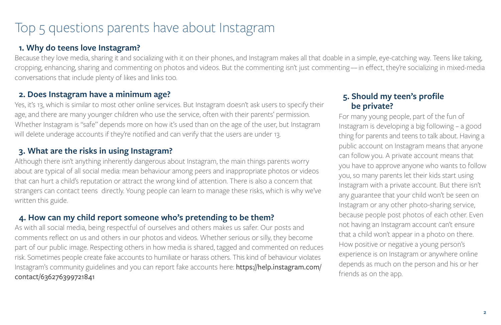## Top 5 questions parents have about Instagram

#### **1. Why do teens love Instagram?**

Because they love media, sharing it and socializing with it on their phones, and Instagram makes all that doable in a simple, eye-catching way. Teens like taking, cropping, enhancing, sharing and commenting on photos and videos. But the commenting isn't just commenting — in effect, they're socializing in mixed-media conversations that include plenty of likes and links too.

### **2. Does Instagram have a minimum age?**

Yes, it's 13, which is similar to most other online services. But Instagram doesn't ask users to specify their age, and there are many younger children who use the service, often with their parents' permission. Whether Instagram is "safe" depends more on how it's used than on the age of the user, but Instagram will delete underage accounts if they're notified and can verify that the users are under 13.

#### **3. What are the risks in using Instagram?**

Although there isn't anything inherently dangerous about Instagram, the main things parents worry about are typical of all social media: mean behaviour among peers and inappropriate photos or videos that can hurt a child's reputation or attract the wrong kind of attention. There is also a concern that strangers can contact teens directly. Young people can learn to manage these risks, which is why we've written this guide.

#### **4. How can my child report someone who's pretending to be them?**

As with all social media, being respectful of ourselves and others makes us safer. Our posts and comments reflect on us and others in our photos and videos. Whether serious or silly, they become part of our public image. Respecting others in how media is shared, tagged and commented on reduces risk. Sometimes people create fake accounts to humiliate or harass others. This kind of behaviour violates Instagram's community guidelines and you can report fake accounts here: [https://help.instagram.com/](https://help.instagram.com/contact/636276399721841) [contact/636276399721841](https://help.instagram.com/contact/636276399721841)

#### **5. Should my teen's profile be private?**

For many young people, part of the fun of Instagram is developing a big following – a good thing for parents and teens to talk about. Having a public account on Instagram means that anyone can follow you. A private account means that you have to approve anyone who wants to follow you, so many parents let their kids start using Instagram with a private account. But there isn't any guarantee that your child won't be seen on Instagram or any other photo-sharing service, because people post photos of each other. Even not having an Instagram account can't ensure that a child won't appear in a photo on there. How positive or negative a young person's experience is on Instagram or anywhere online depends as much on the person and his or her friends as on the app.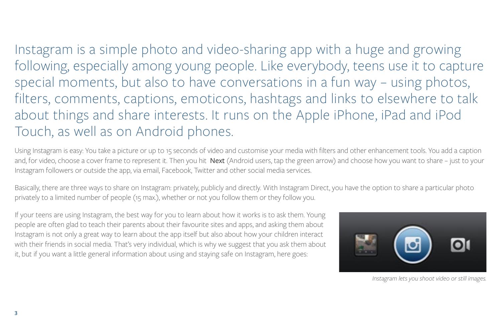Instagram is a simple photo and video-sharing app with a huge and growing following, especially among young people. Like everybody, teens use it to capture special moments, but also to have conversations in a fun way – using photos, filters, comments, captions, emoticons, hashtags and links to elsewhere to talk about things and share interests. It runs on the Apple iPhone, iPad and iPod Touch, as well as on Android phones.

Using Instagram is easy: You take a picture or up to 15 seconds of video and customise your media with filters and other enhancement tools. You add a caption and, for video, choose a cover frame to represent it. Then you hit Next (Android users, tap the green arrow) and choose how you want to share – just to your Instagram followers or outside the app, via email, Facebook, Twitter and other social media services.

Basically, there are three ways to share on Instagram: privately, publicly and directly. With Instagram Direct, you have the option to share a particular photo privately to a limited number of people (15 max.), whether or not you follow them or they follow you.

If your teens are using Instagram, the best way for you to learn about how it works is to ask them. Young people are often glad to teach their parents about their favourite sites and apps, and asking them about Instagram is not only a great way to learn about the app itself but also about how your children interact with their friends in social media. That's very individual, which is why we suggest that you ask them about it, but if you want a little general information about using and staying safe on Instagram, here goes:



 *Instagram lets you shoot video or still images.*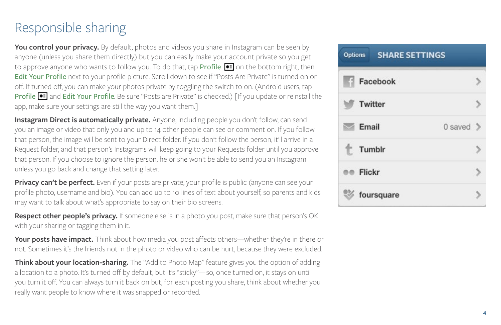# Responsible sharing

**You control your privacy.** By default, photos and videos you share in Instagram can be seen by anyone (unless you share them directly) but you can easily make your account private so you get to approve anyone who wants to follow you. To do that, tap Profile <sup>1</sup> on the bottom right, then Edit Your Profile next to your profile picture. Scroll down to see if "Posts Are Private" is turned on or off. If turned off, you can make your photos private by toggling the switch to on. (Android users, tap Profile **.** and Edit Your Profile. Be sure "Posts are Private" is checked.) [If you update or reinstall the app, make sure your settings are still the way you want them.]

**Instagram Direct is automatically private.** Anyone, including people you don't follow, can send you an image or video that only you and up to 14 other people can see or comment on. If you follow that person, the image will be sent to your Direct folder. If you don't follow the person, it'll arrive in a Request folder, and that person's Instagrams will keep going to your Requests folder until you approve that person. If you choose to ignore the person, he or she won't be able to send you an Instagram unless you go back and change that setting later.

**Privacy can't be perfect.** Even if your posts are private, your profile is public (anyone can see your profile photo, username and bio). You can add up to 10 lines of text about yourself, so parents and kids may want to talk about what's appropriate to say on their bio screens.

**Respect other people's privacy.** If someone else is in a photo you post, make sure that person's OK with your sharing or tagging them in it.

**Your posts have impact.** Think about how media you post affects others—whether they're in there or not. Sometimes it's the friends not in the photo or video who can be hurt, because they were excluded.

**Think about your location-sharing.** The "Add to Photo Map" feature gives you the option of adding a location to a photo. It's turned off by default, but it's "sticky"—so, once turned on, it stays on until you turn it off. You can always turn it back on but, for each posting you share, think about whether you really want people to know where it was snapped or recorded.

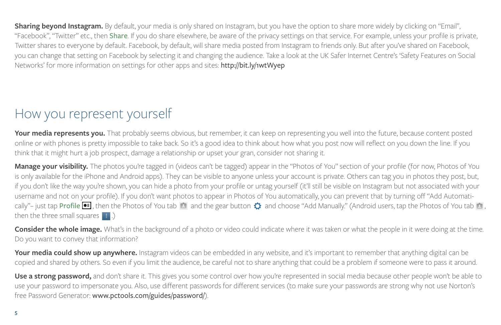**Sharing beyond Instagram.** By default, your media is only shared on Instagram, but you have the option to share more widely by clicking on "Email", "Facebook", "Twitter" etc., then Share. If you do share elsewhere, be aware of the privacy settings on that service. For example, unless your profile is private, Twitter shares to everyone by default. Facebook, by default, will share media posted from Instagram to friends only. But after you've shared on Facebook, you can change that setting on Facebook by selecting it and changing the audience. Take a look at the UK Safer Internet Centre's 'Safety Features on Social Networks' for more information on settings for other apps and sites: <http://bit.ly/1wtWyep>

# How you represent yourself

**Your media represents you.** That probably seems obvious, but remember, it can keep on representing you well into the future, because content posted online or with phones is pretty impossible to take back. So it's a good idea to think about how what you post now will reflect on you down the line. If you think that it might hurt a job prospect, damage a relationship or upset your gran, consider not sharing it.

**Manage your visibility.** The photos you're tagged in (videos can't be tagged) appear in the "Photos of You" section of your profile (for now, Photos of You is only available for the iPhone and Android apps). They can be visible to anyone unless your account is private. Others can tag you in photos they post, but, if you don't like the way you're shown, you can hide a photo from your profile or untag yourself (it'll still be visible on Instagram but not associated with your username and not on your profile). If you don't want photos to appear in Photos of You automatically, you can prevent that by turning off "Add Automatically"– just tap Profile  $\blacksquare$ , then the Photos of You tab  $\blacksquare$  and the gear button  $\Omega$  and choose "Add Manually." (Android users, tap the Photos of You tab  $\blacksquare$ , then the three small squares  $\left| \cdot \right|$ .)

**Consider the whole image.** What's in the background of a photo or video could indicate where it was taken or what the people in it were doing at the time. Do you want to convey that information?

Your media could show up anywhere. Instagram videos can be embedded in any website, and it's important to remember that anything digital can be copied and shared by others. So even if you limit the audience, be careful not to share anything that could be a problem if someone were to pass it around.

Use a strong password, and don't share it. This gives you some control over how you're represented in social media because other people won't be able to use your password to impersonate you. Also, use different passwords for different services (to make sure your passwords are strong why not use Norton's free Password Generator: <www.pctools.com/guides/password/>).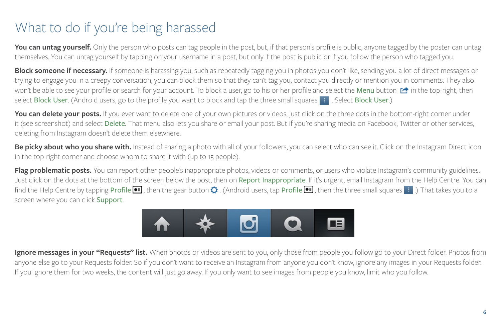# What to do if you're being harassed

You can untag yourself. Only the person who posts can tag people in the post, but, if that person's profile is public, anyone tagged by the poster can untag themselves. You can untag yourself by tapping on your username in a post, but only if the post is public or if you follow the person who tagged you.

**Block someone if necessary.** If someone is harassing you, such as repeatedly tagging you in photos you don't like, sending you a lot of direct messages or trying to engage you in a creepy conversation, you can block them so that they can't tag you, contact you directly or mention you in comments. They also won't be able to see your profile or search for your account. To block a user, go to his or her profile and select the Menu button  $\mathbb{C}$  in the top-right, then select Block User. (Android users, go to the profile you want to block and tap the three small squares  $\cdot$ . Select Block User.)

You can delete your posts. If you ever want to delete one of your own pictures or videos, just click on the three dots in the bottom-right corner under it (see screenshot) and select Delete. That menu also lets you share or email your post. But if you're sharing media on Facebook, Twitter or other services, deleting from Instagram doesn't delete them elsewhere.

Be picky about who you share with. Instead of sharing a photo with all of your followers, you can select who can see it. Click on the Instagram Direct icon in the top-right corner and choose whom to share it with (up to 15 people).

**Flag problematic posts.** You can report other people's inappropriate photos, videos or comments, or users who violate Instagram's community guidelines. Just click on the dots at the bottom of the screen below the post, then on Report Inappropriate. If it's urgent, email Instagram from the Help Centre. You can find the Help Centre by tapping Profile  $\blacksquare$ , then the gear button  $\bullet$ . (Android users, tap Profile  $\blacksquare$ , then the three small squares  $\blacksquare$ .) That takes you to a screen where you can click Support.



**Ignore messages in your "Requests" list.** When photos or videos are sent to you, only those from people you follow go to your Direct folder. Photos from anyone else go to your Requests folder. So if you don't want to receive an Instagram from anyone you don't know, ignore any images in your Requests folder. If you ignore them for two weeks, the content will just go away. If you only want to see images from people you know, limit who you follow.